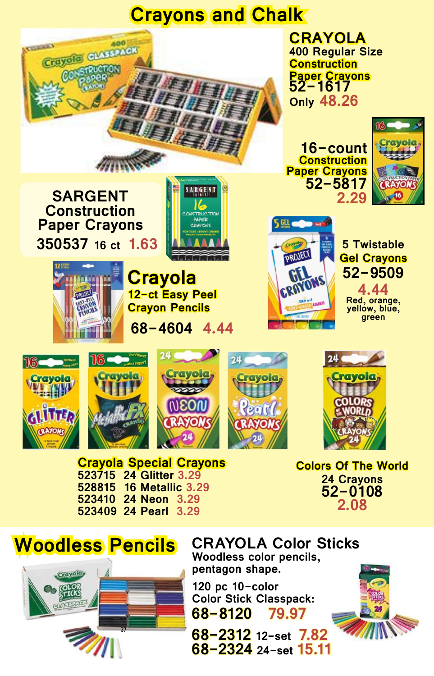## **Crayons and Chalk**





**CRAYOLA Color Sticks Woodless color pencils, pentagon shape.**

**120 pc 10-color Color Stick Classpack: 68-8120 79.97**

**68-2312 12-set 7.82 68-2324 24-set 15.11**